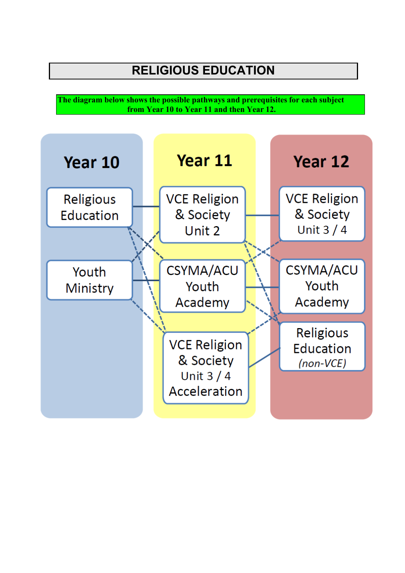# **RELIGIOUS EDUCATION**

**The diagram below shows the possible pathways and prerequisites for each subject from Year 10 to Year 11 and then Year 12.**

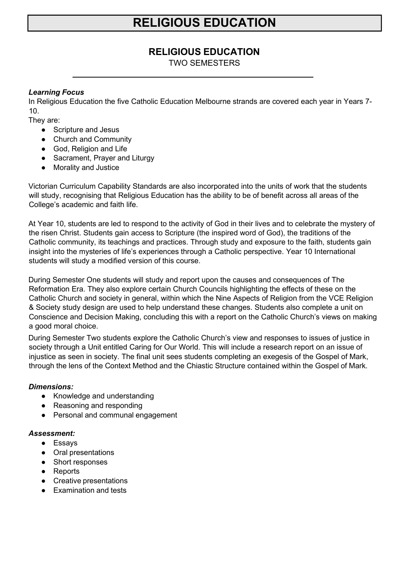# **RELIGIOUS EDUCATION**

### **RELIGIOUS EDUCATION**

TWO SEMESTERS

### *Learning Focus*

In Religious Education the five Catholic Education Melbourne strands are covered each year in Years 7- 10.

They are:

- Scripture and Jesus
- Church and Community
- God, Religion and Life
- Sacrament, Prayer and Liturgy
- Morality and Justice

Victorian Curriculum Capability Standards are also incorporated into the units of work that the students will study, recognising that Religious Education has the ability to be of benefit across all areas of the College's academic and faith life.

At Year 10, students are led to respond to the activity of God in their lives and to celebrate the mystery of the risen Christ. Students gain access to Scripture (the inspired word of God), the traditions of the Catholic community, its teachings and practices. Through study and exposure to the faith, students gain insight into the mysteries of life's experiences through a Catholic perspective. Year 10 International students will study a modified version of this course.

During Semester One students will study and report upon the causes and consequences of The Reformation Era. They also explore certain Church Councils highlighting the effects of these on the Catholic Church and society in general, within which the Nine Aspects of Religion from the VCE Religion & Society study design are used to help understand these changes. Students also complete a unit on Conscience and Decision Making, concluding this with a report on the Catholic Church's views on making a good moral choice.

During Semester Two students explore the Catholic Church's view and responses to issues of justice in society through a Unit entitled Caring for Our World. This will include a research report on an issue of injustice as seen in society. The final unit sees students completing an exegesis of the Gospel of Mark, through the lens of the Context Method and the Chiastic Structure contained within the Gospel of Mark.

### *Dimensions:*

- Knowledge and understanding
- Reasoning and responding
- Personal and communal engagement

### *Assessment:*

- Essays
- Oral presentations
- Short responses
- Reports
- Creative presentations
- Examination and tests